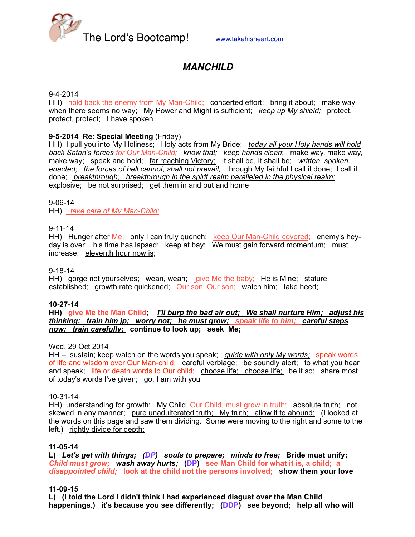

# *MANCHILD*

## 9-4-2014

HH) hold back the enemy from My Man-Child; concerted effort; bring it about; make way when there seems no way; My Power and Might is sufficient; *keep up My shield;* protect, protect, protect; I have spoken

## **9-5-2014 Re: Special Meeting** (Friday)

HH) I pull you into My Holiness; Holy acts from My Bride; *today all your Holy hands will hold back Satan's forces for Our Man-Child; know that; keep hands clean*; make way, make way, make way; speak and hold; <u>far reaching Victory;</u> It shall be, It shall be; *written, spoken, enacted; the forces of hell cannot, shall not prevail;* through My faithful I call it done; I call it done; *breakthrough; breakthrough in the spirit realm paralleled in the physical realm;* explosive; be not surprised; get them in and out and home

#### 9-06-14

HH) *take care of My Man-Child;*

## 9-11-14

HH) Hunger after Me; only I can truly quench; keep Our Man-Child covered; enemy's heyday is over; his time has lapsed; keep at bay; We must gain forward momentum; must increase; eleventh hour now is;

#### 9-18-14

HH) gorge not yourselves; wean, wean; give Me the baby; He is Mine; stature established; growth rate quickened; Our son, Our son; watch him; take heed;

#### **10-27-14**

**HH) give Me the Man Child;** *I'll burp the bad air out; We shall nurture Him; adjust his thinking; train him jp; worry not; he must grow; speak life to him; careful steps now; train carefully;* **continue to look up; seek Me;**

## Wed, 29 Oct 2014

HH – sustain; keep watch on the words you speak; *guide with only My words;* speak words of life and wisdom over Our Man-child; careful verbiage; be soundly alert; to what you hear and speak; life or death words to Our child; choose life; choose life; be it so; share most of today's words I've given; go, I am with you

#### 10-31-14

HH) understanding for growth; My Child, Our Child, must grow in truth; absolute truth; not skewed in any manner; pure unadulterated truth; My truth; allow it to abound; (I looked at the words on this page and saw them dividing. Some were moving to the right and some to the left.) rightly divide for depth;

## **11-05-14**

**L)** *Let's get with things; (DP) souls to prepare; minds to free;* **Bride must unify;**  *Child must grow; wash away hurts;* **(DP) see Man Child for what it is, a child;** *a disappointed child;* **look at the child not the persons involved; show them your love** 

## **11-09-15**

**L) (I told the Lord I didn't think I had experienced disgust over the Man Child happenings.) it's because you see differently; (DDP) see beyond; help all who will**